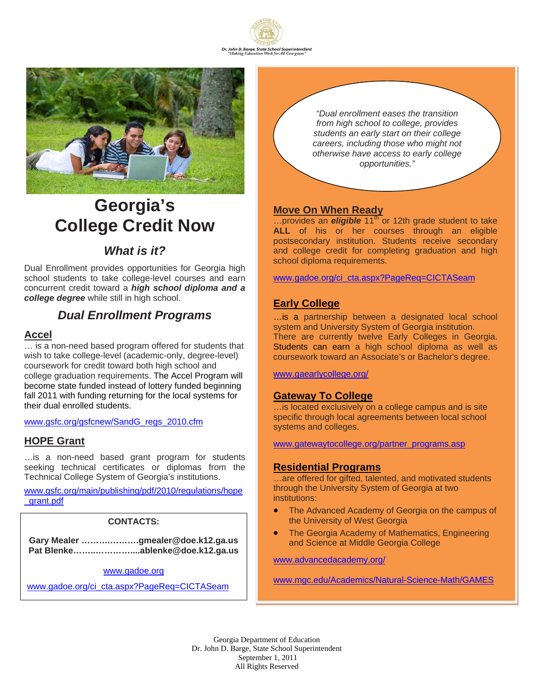



# **Georgia's College Credit Now**

# *What is it?*

Dual Enrollment provides opportunities for Georgia high school students to take college-level courses and earn concurrent credit toward a *high school diploma and a college degree* while still in high school.

# *Dual Enrollment Programs*

## **Accel**

… is a non-need based program offered for students that wish to take college-level (academic-only, degree-level) coursework for credit toward both high school and college graduation requirements. The Accel Program will become state funded instead of lottery funded beginning fall 2011 with funding returning for the local systems for their dual enrolled students.

#### www.gsfc.org/gsfcnew/SandG\_regs\_2010.cfm

## **HOPE Grant**

…is a non-need based grant program for students seeking technical certificates or diplomas from the Technical College System of Georgia's institutions.

www.gsfc.org/main/publishing/pdf/2010/regulations/hope \_grant.pdf

## **CONTACTS:**

**Gary Mealer ……….……….gmealer@doe.k12.ga.us Pat Blenke……..…………....ablenke@doe.k12.ga.us** 

#### www.gadoe.org

www.gadoe.org/ci\_cta.aspx?PageReq=CICTASeam

*"Dual enrollment eases the transition from high school to college, provides students an early start on their college careers, including those who might not otherwise have access to early college opportunities."*

## **Move On When Ready**

...provides an *eligible* 11<sup>th</sup> or 12th grade student to take **ALL** of his or her courses through an eligible postsecondary institution. Students receive secondary and college credit for completing graduation and high school diploma requirements.

www.gadoe.org/ci\_cta.aspx?PageReq=CICTASeam

#### **Early College**

…is a partnership between a designated local school system and University System of Georgia institution. There are currently twelve Early Colleges in Georgia. Students can earn a high school diploma as well as coursework toward an Associate's or Bachelor's degree.

www.gaearlycollege.org/

#### **Gateway To College**

…is located exclusively on a college campus and is site specific through local agreements between local school systems and colleges.

www.gatewaytocollege.org/partner\_programs.asp

#### **Residential Programs**

... are offered for gifted, talented, and motivated students through the University System of Georgia at two institutions:

- The Advanced Academy of Georgia on the campus of the University of West Georgia
- The Georgia Academy of Mathematics, Engineering and Science at Middle Georgia College

www.advancedacademy.org/

www.mgc.edu/Academics/Natural-Science-Math/GAMES

Georgia Department of Education Dr. John D. Barge, State School Superintendent September 1, 2011 All Rights Reserved